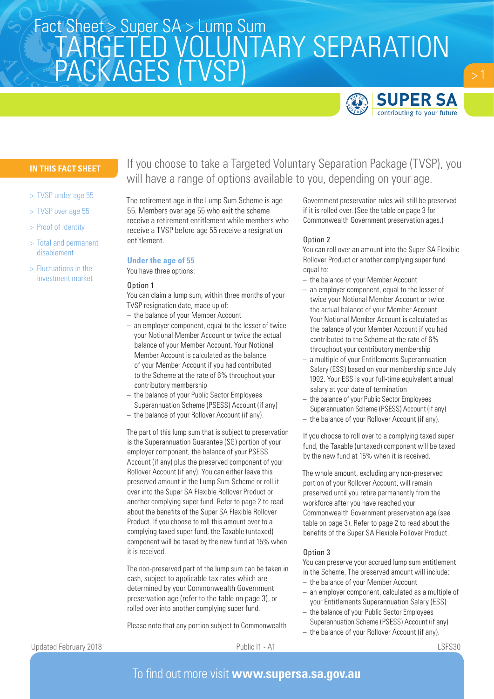# TARGETED VOLUNTARY SEPARATION PACKAGES (TVSP) Fact Sheet > Super SA > Lump Sum



## **IN THIS FACT SHEET**

- > TVSP under age 55
- > TVSP over age 55
- > Proof of identity
- > Total and permanent disablement
- > Fluctuations in the investment market

If you choose to take a Targeted Voluntary Separation Package (TVSP), you will have a range of options available to you, depending on your age.

The retirement age in the Lump Sum Scheme is age 55. Members over age 55 who exit the scheme receive a retirement entitlement while members who receive a TVSP before age 55 receive a resignation entitlement.

### **Under the age of 55**

You have three options:

## Option 1

You can claim a lump sum, within three months of your TVSP resignation date, made up of:

- the balance of your Member Account
- an employer component, equal to the lesser of twice your Notional Member Account or twice the actual balance of your Member Account. Your Notional Member Account is calculated as the balance of your Member Account if you had contributed to the Scheme at the rate of 6% throughout your contributory membership
- the balance of your Public Sector Employees Superannuation Scheme (PSESS) Account (if any)
- the balance of your Rollover Account (if any).

The part of this lump sum that is subject to preservation is the Superannuation Guarantee (SG) portion of your employer component, the balance of your PSESS Account (if any) plus the preserved component of your Rollover Account (if any). You can either leave this preserved amount in the Lump Sum Scheme or roll it over into the Super SA Flexible Rollover Product or another complying super fund. Refer to page 2 to read about the benefits of the Super SA Flexible Rollover Product. If you choose to roll this amount over to a complying taxed super fund, the Taxable (untaxed) component will be taxed by the new fund at 15% when it is received.

The non-preserved part of the lump sum can be taken in cash, subject to applicable tax rates which are determined by your Commonwealth Government preservation age (refer to the table on page 3), or rolled over into another complying super fund.

Please note that any portion subject to Commonwealth

Government preservation rules will still be preserved if it is rolled over. (See the table on page 3 for Commonwealth Government preservation ages.)

### Option 2

You can roll over an amount into the Super SA Flexible Rollover Product or another complying super fund equal to:

- the balance of your Member Account
- an employer component, equal to the lesser of twice your Notional Member Account or twice the actual balance of your Member Account. Your Notional Member Account is calculated as the balance of your Member Account if you had contributed to the Scheme at the rate of 6% throughout your contributory membership
- a multiple of your Entitlements Superannuation Salary (ESS) based on your membership since July 1992. Your ESS is your full-time equivalent annual salary at your date of termination
- the balance of your Public Sector Employees Superannuation Scheme (PSESS) Account (if any)
- the balance of your Rollover Account (if any).

If you choose to roll over to a complying taxed super fund, the Taxable (untaxed) component will be taxed by the new fund at 15% when it is received.

The whole amount, excluding any non-preserved portion of your Rollover Account, will remain preserved until you retire permanently from the workforce after you have reached your Commonwealth Government preservation age (see table on page 3). Refer to page 2 to read about the benefits of the Super SA Flexible Rollover Product.

## Option 3

You can preserve your accrued lump sum entitlement in the Scheme. The preserved amount will include:

- the balance of your Member Account
- an employer component, calculated as a multiple of your Entitlements Superannuation Salary (ESS)
- the balance of your Public Sector Employees Superannuation Scheme (PSESS) Account (if any)
- the balance of your Rollover Account (if any).

Updated February 2018 **Public I1 - A1** Public I1 - A1 **Public I1 - A1** LSFS30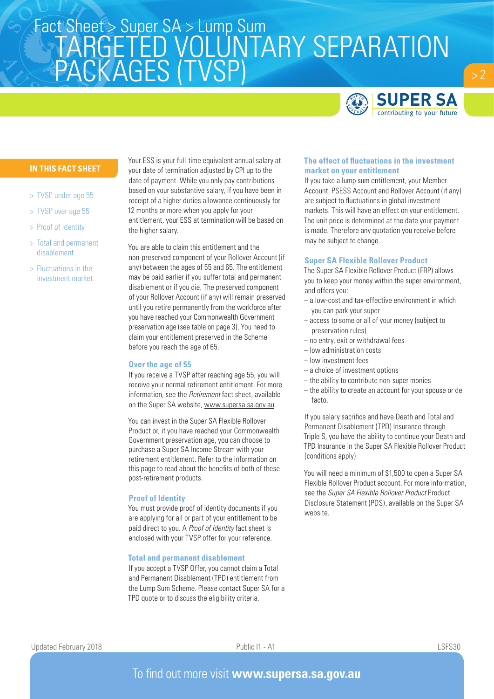# TARGETED VOLUNTARY SEPARATION PACKAGES (TVSP) Fact Sheet > Super SA > Lump Sum



# **IN THIS FACT SHEET**

- > TVSP under age 55
- > TVSP over age 55
- > Proof of identity
- > Total and permanent disablement
- > Fluctuations in the investment market

Your ESS is your full-time equivalent annual salary at your date of termination adjusted by CPI up to the date of payment. While you only pay contributions based on your substantive salary, if you have been in receipt of a higher duties allowance continuously for 12 months or more when you apply for your entitlement, your ESS at termination will be based on the higher salary.

You are able to claim this entitlement and the non-preserved component of your Rollover Account (if any) between the ages of 55 and 65. The entitlement may be paid earlier if you suffer total and permanent disablement or if you die. The preserved component of your Rollover Account (if any) will remain preserved until you retire permanently from the workforce after you have reached your Commonwealth Government preservation age (see table on page 3). You need to claim your entitlement preserved in the Scheme before you reach the age of 65.

#### **Over the age of 55**

If you receive a TVSP after reaching age 55, you will receive your normal retirement entitlement. For more information, see the *Retirement* fact sheet, available on the Super SA website, www.supersa.sa.gov.au.

You can invest in the Super SA Flexible Rollover Product or, if you have reached your Commonwealth Government preservation age, you can choose to purchase a Super SA Income Stream with your retirement entitlement. Refer to the information on this page to read about the benefits of both of these post-retirement products.

#### **Proof of Identity**

You must provide proof of identity documents if you are applying for all or part of your entitlement to be paid direct to you. A *Proof of Identity* fact sheet is enclosed with your TVSP offer for your reference.

### **Total and permanent disablement**

If you accept a TVSP Offer, you cannot claim a Total and Permanent Disablement (TPD) entitlement from the Lump Sum Scheme. Please contact Super SA for a TPD quote or to discuss the eligibility criteria.

## **The effect of fluctuations in the investment market on your entitlement**

If you take a lump sum entitlement, your Member Account, PSESS Account and Rollover Account (if any) are subject to fluctuations in global investment markets. This will have an effect on your entitlement. The unit price is determined at the date your payment is made. Therefore any quotation you receive before may be subject to change.

#### **Super SA Flexible Rollover Product**

The Super SA Flexible Rollover Product (FRP) allows you to keep your money within the super environment, and offers you:

- a low-cost and tax-effective environment in which you can park your super
- access to some or all of your money (subject to preservation rules)
- no entry, exit or withdrawal fees
- low administration costs
- low investment fees
- a choice of investment options
- the ability to contribute non-super monies
- the ability to create an account for your spouse or de facto.

If you salary sacrifice and have Death and Total and Permanent Disablement (TPD) Insurance through Triple S, you have the ability to continue your Death and TPD Insurance in the Super SA Flexible Rollover Product (conditions apply).

You will need a minimum of \$1,500 to open a Super SA Flexible Rollover Product account. For more information, see the *Super SA Flexible Rollover Product* Product Disclosure Statement (PDS), available on the Super SA website.